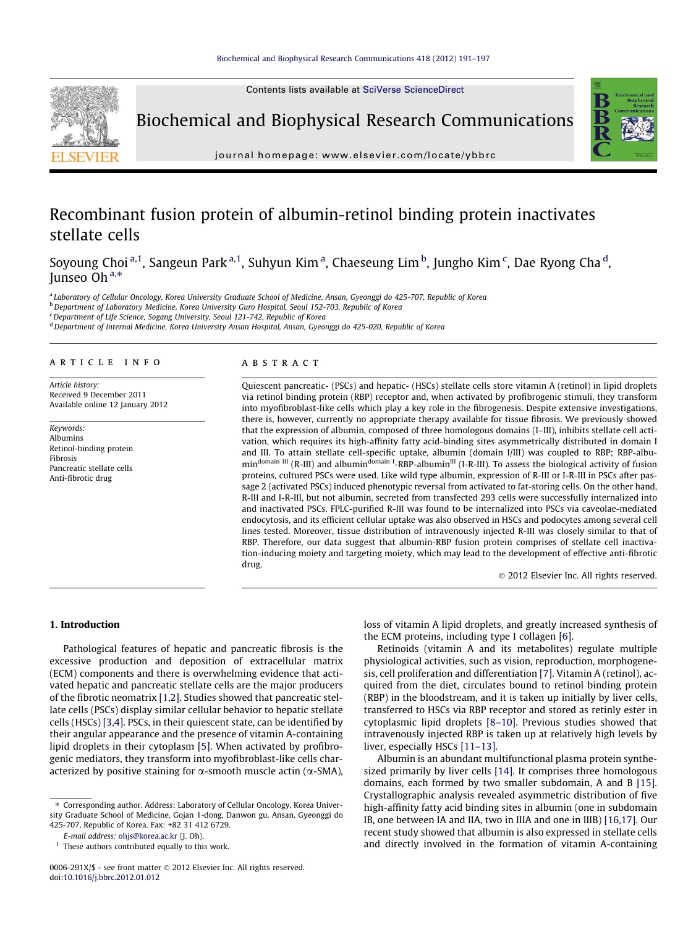Contents lists available at [SciVerse ScienceDirect](http://www.sciencedirect.com/science/journal/0006291X)



Biochemical and Biophysical Research Communications



journal homepage: [www.elsevier.com/locate/ybbrc](http://www.elsevier.com/locate/ybbrc)

# Recombinant fusion protein of albumin-retinol binding protein inactivates stellate cells

Soyoung Choi <sup>a, 1</sup>, Sangeun Park <sup>a, 1</sup>, Suhyun Kim <sup>a</sup>, Chaeseung Lim <sup>b</sup>, Jungho Kim <sup>c</sup>, Dae Ryong Cha <sup>d</sup>, Junseo Oh $a,*$ 

a Laboratory of Cellular Oncology, Korea University Graduate School of Medicine, Ansan, Gyeonggi do 425-707, Republic of Korea

<sup>b</sup> Department of Laboratory Medicine, Korea University Guro Hospital, Seoul 152-703, Republic of Korea

<sup>c</sup> Department of Life Science, Sogang University, Seoul 121-742, Republic of Korea

<sup>d</sup> Department of Internal Medicine, Korea University Ansan Hospital, Ansan, Gyeonggi do 425-020, Republic of Korea

# article info

Article history: Received 9 December 2011 Available online 12 January 2012

Keywords: Albumins Retinol-binding protein Fibrosis Pancreatic stellate cells Anti-fibrotic drug

## **ABSTRACT**

Quiescent pancreatic- (PSCs) and hepatic- (HSCs) stellate cells store vitamin A (retinol) in lipid droplets via retinol binding protein (RBP) receptor and, when activated by profibrogenic stimuli, they transform into myofibroblast-like cells which play a key role in the fibrogenesis. Despite extensive investigations, there is, however, currently no appropriate therapy available for tissue fibrosis. We previously showed that the expression of albumin, composed of three homologous domains (I–III), inhibits stellate cell activation, which requires its high-affinity fatty acid-binding sites asymmetrically distributed in domain I and III. To attain stellate cell-specific uptake, albumin (domain I/III) was coupled to RBP; RBP-albu $min$ <sup>domain III</sup> (R-III) and albumin<sup>domain I</sup>-RBP-albumin<sup>III</sup> (I-R-III). To assess the biological activity of fusion proteins, cultured PSCs were used. Like wild type albumin, expression of R-III or I-R-III in PSCs after passage 2 (activated PSCs) induced phenotypic reversal from activated to fat-storing cells. On the other hand, R-III and I-R-III, but not albumin, secreted from transfected 293 cells were successfully internalized into and inactivated PSCs. FPLC-purified R-III was found to be internalized into PSCs via caveolae-mediated endocytosis, and its efficient cellular uptake was also observed in HSCs and podocytes among several cell lines tested. Moreover, tissue distribution of intravenously injected R-III was closely similar to that of RBP. Therefore, our data suggest that albumin-RBP fusion protein comprises of stellate cell inactivation-inducing moiety and targeting moiety, which may lead to the development of effective anti-fibrotic drug.

- 2012 Elsevier Inc. All rights reserved.

## 1. Introduction

Pathological features of hepatic and pancreatic fibrosis is the excessive production and deposition of extracellular matrix (ECM) components and there is overwhelming evidence that activated hepatic and pancreatic stellate cells are the major producers of the fibrotic neomatrix [\[1,2\].](#page-5-0) Studies showed that pancreatic stellate cells (PSCs) display similar cellular behavior to hepatic stellate cells (HSCs) [\[3,4\].](#page-5-0) PSCs, in their quiescent state, can be identified by their angular appearance and the presence of vitamin A-containing lipid droplets in their cytoplasm [\[5\].](#page-6-0) When activated by profibrogenic mediators, they transform into myofibroblast-like cells characterized by positive staining for  $\alpha$ -smooth muscle actin ( $\alpha$ -SMA), loss of vitamin A lipid droplets, and greatly increased synthesis of the ECM proteins, including type I collagen [\[6\]](#page-6-0).

Retinoids (vitamin A and its metabolites) regulate multiple physiological activities, such as vision, reproduction, morphogenesis, cell proliferation and differentiation [\[7\].](#page-6-0) Vitamin A (retinol), acquired from the diet, circulates bound to retinol binding protein (RBP) in the bloodstream, and it is taken up initially by liver cells, transferred to HSCs via RBP receptor and stored as retinly ester in cytoplasmic lipid droplets [\[8–10\]](#page-6-0). Previous studies showed that intravenously injected RBP is taken up at relatively high levels by liver, especially HSCs [\[11–13\]](#page-6-0).

Albumin is an abundant multifunctional plasma protein synthesized primarily by liver cells [\[14\].](#page-6-0) It comprises three homologous domains, each formed by two smaller subdomain, A and B [\[15\].](#page-6-0) Crystallographic analysis revealed asymmetric distribution of five high-affinity fatty acid binding sites in albumin (one in subdomain IB, one between IA and IIA, two in IIIA and one in IIIB) [\[16,17\]](#page-6-0). Our recent study showed that albumin is also expressed in stellate cells and directly involved in the formation of vitamin A-containing

<sup>⇑</sup> Corresponding author. Address: Laboratory of Cellular Oncology, Korea University Graduate School of Medicine, Gojan 1-dong, Danwon gu, Ansan, Gyeonggi do 425-707, Republic of Korea. Fax: +82 31 412 6729.

E-mail address: [ohjs@korea.ac.kr](mailto:ohjs@korea.ac.kr) (J. Oh).

 $<sup>1</sup>$  These authors contributed equally to this work.</sup>

<sup>0006-291</sup>X/\$ - see front matter © 2012 Elsevier Inc. All rights reserved. doi[:10.1016/j.bbrc.2012.01.012](http://dx.doi.org/10.1016/j.bbrc.2012.01.012)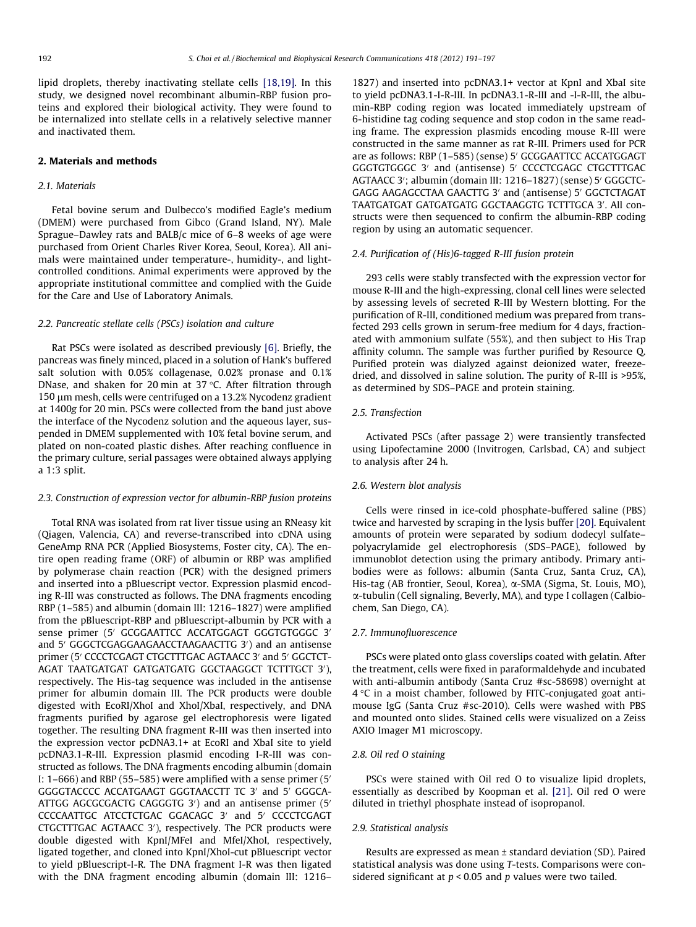lipid droplets, thereby inactivating stellate cells [\[18,19\]](#page-6-0). In this study, we designed novel recombinant albumin-RBP fusion proteins and explored their biological activity. They were found to be internalized into stellate cells in a relatively selective manner and inactivated them.

## 2. Materials and methods

## 2.1. Materials

Fetal bovine serum and Dulbecco's modified Eagle's medium (DMEM) were purchased from Gibco (Grand Island, NY). Male Sprague–Dawley rats and BALB/c mice of 6–8 weeks of age were purchased from Orient Charles River Korea, Seoul, Korea). All animals were maintained under temperature-, humidity-, and lightcontrolled conditions. Animal experiments were approved by the appropriate institutional committee and complied with the Guide for the Care and Use of Laboratory Animals.

### 2.2. Pancreatic stellate cells (PSCs) isolation and culture

Rat PSCs were isolated as described previously [\[6\]](#page-6-0). Briefly, the pancreas was finely minced, placed in a solution of Hank's buffered salt solution with 0.05% collagenase, 0.02% pronase and 0.1% DNase, and shaken for 20 min at 37  $\degree$ C. After filtration through 150 µm mesh, cells were centrifuged on a 13.2% Nycodenz gradient at 1400g for 20 min. PSCs were collected from the band just above the interface of the Nycodenz solution and the aqueous layer, suspended in DMEM supplemented with 10% fetal bovine serum, and plated on non-coated plastic dishes. After reaching confluence in the primary culture, serial passages were obtained always applying a 1:3 split.

## 2.3. Construction of expression vector for albumin-RBP fusion proteins

Total RNA was isolated from rat liver tissue using an RNeasy kit (Qiagen, Valencia, CA) and reverse-transcribed into cDNA using GeneAmp RNA PCR (Applied Biosystems, Foster city, CA). The entire open reading frame (ORF) of albumin or RBP was amplified by polymerase chain reaction (PCR) with the designed primers and inserted into a pBluescript vector. Expression plasmid encoding R-III was constructed as follows. The DNA fragments encoding RBP (1–585) and albumin (domain III: 1216–1827) were amplified from the pBluescript-RBP and pBluescript-albumin by PCR with a sense primer (5' GCGGAATTCC ACCATGGAGT GGGTGTGGGC 3' and 5' GGGCTCGAGGAAGAACCTAAGAACTTG 3') and an antisense primer (5' CCCCTCGAGT CTGCTTTGAC AGTAACC 3' and 5' GGCTCT-AGAT TAATGATGAT GATGATGATG GGCTAAGGCT TCTTTGCT 3′), respectively. The His-tag sequence was included in the antisense primer for albumin domain III. The PCR products were double digested with EcoRI/XhoI and XhoI/XbaI, respectively, and DNA fragments purified by agarose gel electrophoresis were ligated together. The resulting DNA fragment R-III was then inserted into the expression vector pcDNA3.1+ at EcoRI and XbaI site to yield pcDNA3.1-R-III. Expression plasmid encoding I-R-III was constructed as follows. The DNA fragments encoding albumin (domain I:  $1-666$ ) and RBP (55–585) were amplified with a sense primer (5<sup> $\prime$ </sup>) GGGGTACCCC ACCATGAAGT GGGTAACCTT TC 3' and 5' GGGCA-ATTGG AGCGCGACTG CAGGGTG 3') and an antisense primer (5' CCCCAATTGC ATCCTCTGAC GGACAGC 3' and 5' CCCCTCGAGT CTGCTTTGAC AGTAACC 3'), respectively. The PCR products were double digested with KpnI/MFeI and MfeI/XhoI, respectively, ligated together, and cloned into KpnI/XhoI-cut pBluescript vector to yield pBluescript-I-R. The DNA fragment I-R was then ligated with the DNA fragment encoding albumin (domain III: 1216–

1827) and inserted into pcDNA3.1+ vector at KpnI and XbaI site to yield pcDNA3.1-I-R-III. In pcDNA3.1-R-III and -I-R-III, the albumin-RBP coding region was located immediately upstream of 6-histidine tag coding sequence and stop codon in the same reading frame. The expression plasmids encoding mouse R-III were constructed in the same manner as rat R-III. Primers used for PCR are as follows: RBP (1-585) (sense) 5' GCGGAATTCC ACCATGGAGT GGGTGTGGGC 3' and (antisense) 5' CCCCTCGAGC CTGCTTTGAC AGTAACC 3'; albumin (domain III: 1216–1827) (sense) 5' GGGCTC-GAGG AAGAGCCTAA GAACTTG 3' and (antisense) 5' GGCTCTAGAT TAATGATGAT GATGATGATG GGCTAAGGTG TCTTTGCA 3'. All constructs were then sequenced to confirm the albumin-RBP coding region by using an automatic sequencer.

## 2.4. Purification of (His)6-tagged R-III fusion protein

293 cells were stably transfected with the expression vector for mouse R-III and the high-expressing, clonal cell lines were selected by assessing levels of secreted R-III by Western blotting. For the purification of R-III, conditioned medium was prepared from transfected 293 cells grown in serum-free medium for 4 days, fractionated with ammonium sulfate (55%), and then subject to His Trap affinity column. The sample was further purified by Resource Q. Purified protein was dialyzed against deionized water, freezedried, and dissolved in saline solution. The purity of R-III is >95%, as determined by SDS–PAGE and protein staining.

## 2.5. Transfection

Activated PSCs (after passage 2) were transiently transfected using Lipofectamine 2000 (Invitrogen, Carlsbad, CA) and subject to analysis after 24 h.

## 2.6. Western blot analysis

Cells were rinsed in ice-cold phosphate-buffered saline (PBS) twice and harvested by scraping in the lysis buffer [\[20\]](#page-6-0). Equivalent amounts of protein were separated by sodium dodecyl sulfate– polyacrylamide gel electrophoresis (SDS–PAGE), followed by immunoblot detection using the primary antibody. Primary antibodies were as follows: albumin (Santa Cruz, Santa Cruz, CA), His-tag (AB frontier, Seoul, Korea), a-SMA (Sigma, St. Louis, MO), a-tubulin (Cell signaling, Beverly, MA), and type I collagen (Calbiochem, San Diego, CA).

#### 2.7. Immunofluorescence

PSCs were plated onto glass coverslips coated with gelatin. After the treatment, cells were fixed in paraformaldehyde and incubated with anti-albumin antibody (Santa Cruz #sc-58698) overnight at  $4^{\circ}$ C in a moist chamber, followed by FITC-conjugated goat antimouse IgG (Santa Cruz #sc-2010). Cells were washed with PBS and mounted onto slides. Stained cells were visualized on a Zeiss AXIO Imager M1 microscopy.

# 2.8. Oil red O staining

PSCs were stained with Oil red O to visualize lipid droplets, essentially as described by Koopman et al. [\[21\]](#page-6-0). Oil red O were diluted in triethyl phosphate instead of isopropanol.

## 2.9. Statistical analysis

Results are expressed as mean ± standard deviation (SD). Paired statistical analysis was done using T-tests. Comparisons were considered significant at  $p < 0.05$  and p values were two tailed.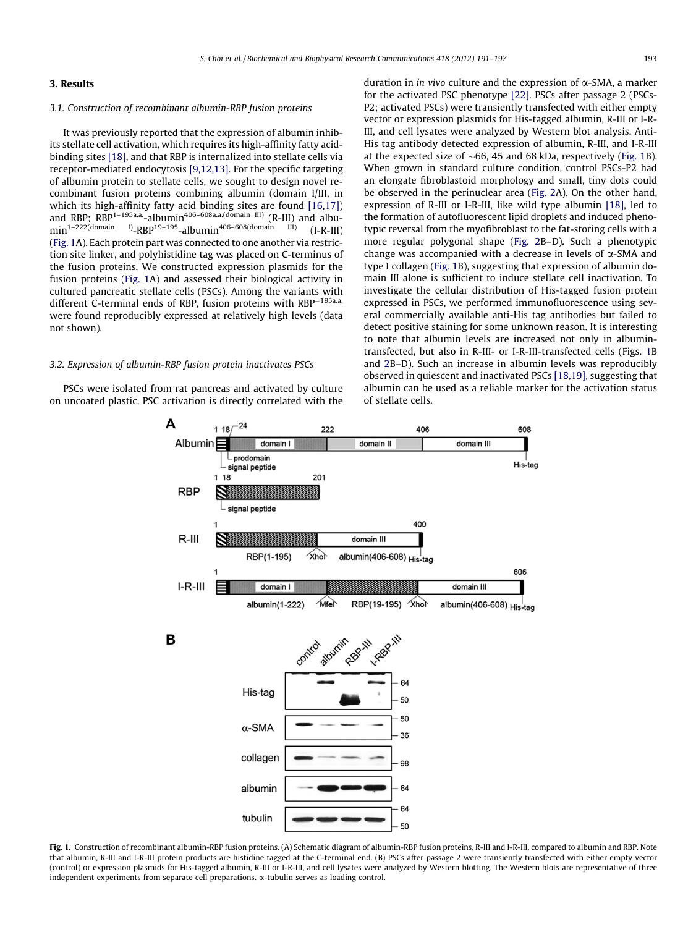# <span id="page-2-0"></span>3. Results

## 3.1. Construction of recombinant albumin-RBP fusion proteins

It was previously reported that the expression of albumin inhibits stellate cell activation, which requires its high-affinity fatty acidbinding sites [\[18\],](#page-6-0) and that RBP is internalized into stellate cells via receptor-mediated endocytosis [\[9,12,13\].](#page-6-0) For the specific targeting of albumin protein to stellate cells, we sought to design novel recombinant fusion proteins combining albumin (domain I/III, in which its high-affinity fatty acid binding sites are found [\[16,17\]\)](#page-6-0) and RBP;  $RBP^{1-195a.a}$ -albumin<sup>406–608a.a.(domain III)</sup>  $(R-III)$  and albu-<br>min<sup>1–222</sup>(domain I) pRD<sup>19–195</sup> albumin<sup>406–608</sup>(domain III) (LP III)  $min^{-1-222(domain - 1)}-RBP^{19-195}-albumin^{406-608(domain - 11)}$  (I-R-III) (Fig. 1A). Each protein part was connected to one another via restriction site linker, and polyhistidine tag was placed on C-terminus of the fusion proteins. We constructed expression plasmids for the fusion proteins (Fig. 1A) and assessed their biological activity in cultured pancreatic stellate cells (PSCs). Among the variants with different C-terminal ends of RBP, fusion proteins with RBP<sup>-195a.a.</sup> were found reproducibly expressed at relatively high levels (data not shown).

# 3.2. Expression of albumin-RBP fusion protein inactivates PSCs

PSCs were isolated from rat pancreas and activated by culture on uncoated plastic. PSC activation is directly correlated with the duration in *in vivo* culture and the expression of  $\alpha$ -SMA, a marker for the activated PSC phenotype [\[22\]](#page-6-0). PSCs after passage 2 (PSCs-P2; activated PSCs) were transiently transfected with either empty vector or expression plasmids for His-tagged albumin, R-III or I-R-III, and cell lysates were analyzed by Western blot analysis. Anti-His tag antibody detected expression of albumin, R-III, and I-R-III at the expected size of  $\sim$  66, 45 and 68 kDa, respectively (Fig. 1B). When grown in standard culture condition, control PSCs-P2 had an elongate fibroblastoid morphology and small, tiny dots could be observed in the perinuclear area ([Fig. 2A](#page-3-0)). On the other hand, expression of R-III or I-R-III, like wild type albumin [\[18\]](#page-6-0), led to the formation of autofluorescent lipid droplets and induced phenotypic reversal from the myofibroblast to the fat-storing cells with a more regular polygonal shape ([Fig. 2B](#page-3-0)–D). Such a phenotypic change was accompanied with a decrease in levels of  $\alpha$ -SMA and type I collagen (Fig. 1B), suggesting that expression of albumin domain III alone is sufficient to induce stellate cell inactivation. To investigate the cellular distribution of His-tagged fusion protein expressed in PSCs, we performed immunofluorescence using several commercially available anti-His tag antibodies but failed to detect positive staining for some unknown reason. It is interesting to note that albumin levels are increased not only in albumintransfected, but also in R-III- or I-R-III-transfected cells (Figs. 1B and [2B](#page-3-0)–D). Such an increase in albumin levels was reproducibly observed in quiescent and inactivated PSCs [\[18,19\]](#page-6-0), suggesting that albumin can be used as a reliable marker for the activation status of stellate cells.



Fig. 1. Construction of recombinant albumin-RBP fusion proteins. (A) Schematic diagram of albumin-RBP fusion proteins, R-III and I-R-III, compared to albumin and RBP. Note that albumin, R-III and I-R-III protein products are histidine tagged at the C-terminal end. (B) PSCs after passage 2 were transiently transfected with either empty vector (control) or expression plasmids for His-tagged albumin, R-III or I-R-III, and cell lysates were analyzed by Western blotting. The Western blots are representative of three independent experiments from separate cell preparations. a-tubulin serves as loading control.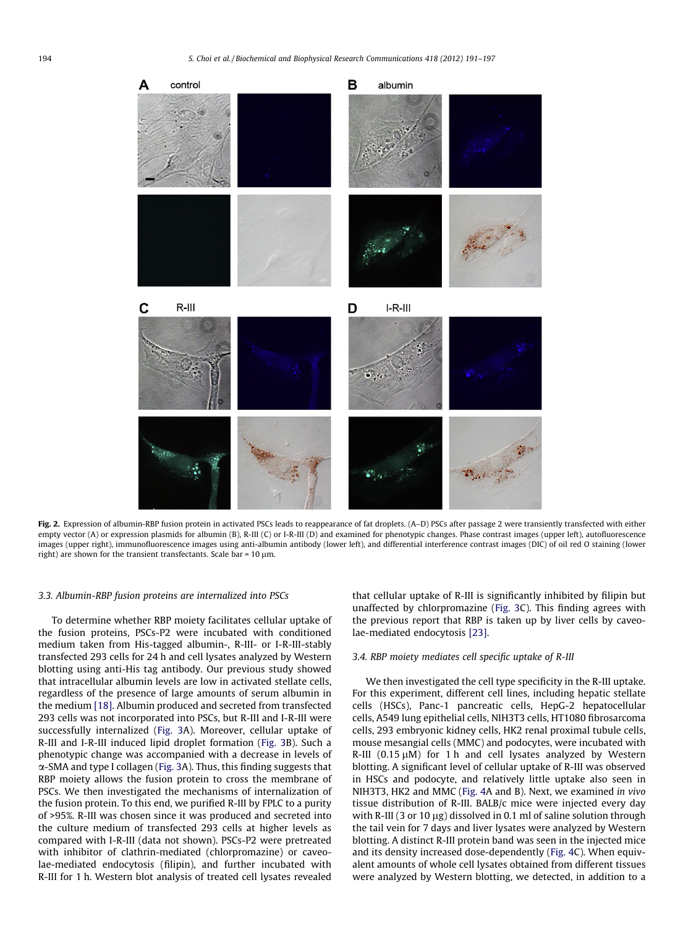<span id="page-3-0"></span>

Fig. 2. Expression of albumin-RBP fusion protein in activated PSCs leads to reappearance of fat droplets. (A-D) PSCs after passage 2 were transiently transfected with either empty vector (A) or expression plasmids for albumin (B), R-III (C) or I-R-III (D) and examined for phenotypic changes. Phase contrast images (upper left), autofluorescence images (upper right), immunofluorescence images using anti-albumin antibody (lower left), and differential interference contrast images (DIC) of oil red O staining (lower right) are shown for the transient transfectants. Scale bar =  $10 \mu m$ .

## 3.3. Albumin-RBP fusion proteins are internalized into PSCs

To determine whether RBP moiety facilitates cellular uptake of the fusion proteins, PSCs-P2 were incubated with conditioned medium taken from His-tagged albumin-, R-III- or I-R-III-stably transfected 293 cells for 24 h and cell lysates analyzed by Western blotting using anti-His tag antibody. Our previous study showed that intracellular albumin levels are low in activated stellate cells, regardless of the presence of large amounts of serum albumin in the medium [\[18\].](#page-6-0) Albumin produced and secreted from transfected 293 cells was not incorporated into PSCs, but R-III and I-R-III were successfully internalized ([Fig. 3A](#page-4-0)). Moreover, cellular uptake of R-III and I-R-III induced lipid droplet formation ([Fig. 3B](#page-4-0)). Such a phenotypic change was accompanied with a decrease in levels of a-SMA and type I collagen ([Fig. 3A](#page-4-0)). Thus, this finding suggests that RBP moiety allows the fusion protein to cross the membrane of PSCs. We then investigated the mechanisms of internalization of the fusion protein. To this end, we purified R-III by FPLC to a purity of >95%. R-III was chosen since it was produced and secreted into the culture medium of transfected 293 cells at higher levels as compared with I-R-III (data not shown). PSCs-P2 were pretreated with inhibitor of clathrin-mediated (chlorpromazine) or caveolae-mediated endocytosis (filipin), and further incubated with R-III for 1 h. Western blot analysis of treated cell lysates revealed that cellular uptake of R-III is significantly inhibited by filipin but unaffected by chlorpromazine ([Fig. 3](#page-4-0)C). This finding agrees with the previous report that RBP is taken up by liver cells by caveolae-mediated endocytosis [\[23\].](#page-6-0)

## 3.4. RBP moiety mediates cell specific uptake of R-III

We then investigated the cell type specificity in the R-III uptake. For this experiment, different cell lines, including hepatic stellate cells (HSCs), Panc-1 pancreatic cells, HepG-2 hepatocellular cells, A549 lung epithelial cells, NIH3T3 cells, HT1080 fibrosarcoma cells, 293 embryonic kidney cells, HK2 renal proximal tubule cells, mouse mesangial cells (MMC) and podocytes, were incubated with R-III  $(0.15 \mu M)$  for 1 h and cell lysates analyzed by Western blotting. A significant level of cellular uptake of R-III was observed in HSCs and podocyte, and relatively little uptake also seen in NIH3T3, HK2 and MMC ([Fig. 4](#page-5-0)A and B). Next, we examined in vivo tissue distribution of R-III. BALB/c mice were injected every day with R-III (3 or 10  $\mu$ g) dissolved in 0.1 ml of saline solution through the tail vein for 7 days and liver lysates were analyzed by Western blotting. A distinct R-III protein band was seen in the injected mice and its density increased dose-dependently [\(Fig. 4](#page-5-0)C). When equivalent amounts of whole cell lysates obtained from different tissues were analyzed by Western blotting, we detected, in addition to a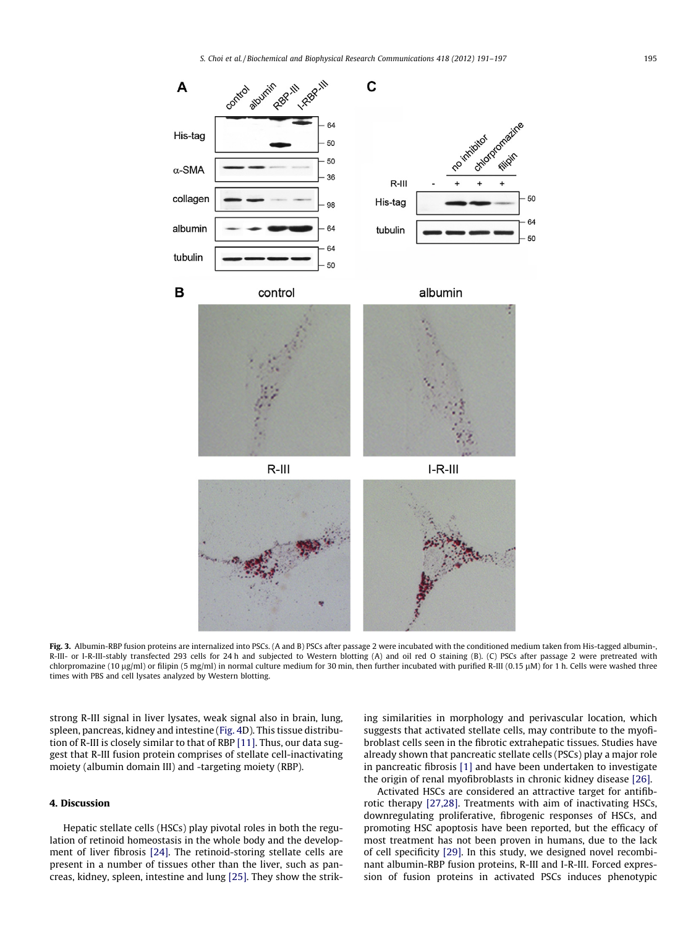<span id="page-4-0"></span>

Fig. 3. Albumin-RBP fusion proteins are internalized into PSCs. (A and B) PSCs after passage 2 were incubated with the conditioned medium taken from His-tagged albumin-, R-III- or I-R-III-stably transfected 293 cells for 24 h and subjected to Western blotting (A) and oil red O staining (B). (C) PSCs after passage 2 were pretreated with chlorpromazine (10 µg/ml) or filipin (5 mg/ml) in normal culture medium for 30 min, then further incubated with purified R-III (0.15 µM) for 1 h. Cells were washed three times with PBS and cell lysates analyzed by Western blotting.

strong R-III signal in liver lysates, weak signal also in brain, lung, spleen, pancreas, kidney and intestine ([Fig. 4](#page-5-0)D). This tissue distribution of R-III is closely similar to that of RBP [\[11\]](#page-6-0). Thus, our data suggest that R-III fusion protein comprises of stellate cell-inactivating moiety (albumin domain III) and -targeting moiety (RBP).

# 4. Discussion

Hepatic stellate cells (HSCs) play pivotal roles in both the regulation of retinoid homeostasis in the whole body and the development of liver fibrosis [\[24\]](#page-6-0). The retinoid-storing stellate cells are present in a number of tissues other than the liver, such as pancreas, kidney, spleen, intestine and lung [\[25\]](#page-6-0). They show the striking similarities in morphology and perivascular location, which suggests that activated stellate cells, may contribute to the myofibroblast cells seen in the fibrotic extrahepatic tissues. Studies have already shown that pancreatic stellate cells (PSCs) play a major role in pancreatic fibrosis [\[1\]](#page-5-0) and have been undertaken to investigate the origin of renal myofibroblasts in chronic kidney disease [\[26\].](#page-6-0)

Activated HSCs are considered an attractive target for antifibrotic therapy [\[27,28\].](#page-6-0) Treatments with aim of inactivating HSCs, downregulating proliferative, fibrogenic responses of HSCs, and promoting HSC apoptosis have been reported, but the efficacy of most treatment has not been proven in humans, due to the lack of cell specificity [\[29\].](#page-6-0) In this study, we designed novel recombinant albumin-RBP fusion proteins, R-III and I-R-III. Forced expression of fusion proteins in activated PSCs induces phenotypic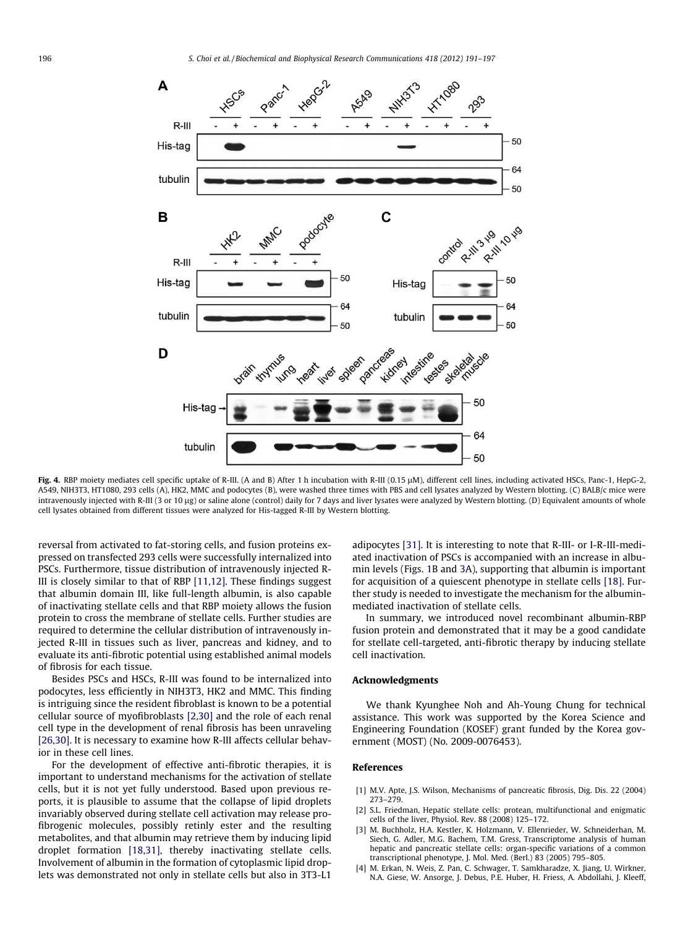<span id="page-5-0"></span>

Fig. 4. RBP moiety mediates cell specific uptake of R-III. (A and B) After 1 h incubation with R-III (0.15 µM), different cell lines, including activated HSCs, Panc-1, HepG-2, A549, NIH3T3, HT1080, 293 cells (A), HK2, MMC and podocytes (B), were washed three times with PBS and cell lysates analyzed by Western blotting. (C) BALB/c mice were intravenously injected with R-III (3 or 10 µg) or saline alone (control) daily for 7 days and liver lysates were analyzed by Western blotting. (D) Equivalent amounts of whole cell lysates obtained from different tissues were analyzed for His-tagged R-III by Western blotting.

reversal from activated to fat-storing cells, and fusion proteins expressed on transfected 293 cells were successfully internalized into PSCs. Furthermore, tissue distribution of intravenously injected R-III is closely similar to that of RBP [\[11,12\].](#page-6-0) These findings suggest that albumin domain III, like full-length albumin, is also capable of inactivating stellate cells and that RBP moiety allows the fusion protein to cross the membrane of stellate cells. Further studies are required to determine the cellular distribution of intravenously injected R-III in tissues such as liver, pancreas and kidney, and to evaluate its anti-fibrotic potential using established animal models of fibrosis for each tissue.

Besides PSCs and HSCs, R-III was found to be internalized into podocytes, less efficiently in NIH3T3, HK2 and MMC. This finding is intriguing since the resident fibroblast is known to be a potential cellular source of myofibroblasts [2,30] and the role of each renal cell type in the development of renal fibrosis has been unraveling [\[26,30\].](#page-6-0) It is necessary to examine how R-III affects cellular behavior in these cell lines.

For the development of effective anti-fibrotic therapies, it is important to understand mechanisms for the activation of stellate cells, but it is not yet fully understood. Based upon previous reports, it is plausible to assume that the collapse of lipid droplets invariably observed during stellate cell activation may release profibrogenic molecules, possibly retinly ester and the resulting metabolites, and that albumin may retrieve them by inducing lipid droplet formation [\[18,31\],](#page-6-0) thereby inactivating stellate cells. Involvement of albumin in the formation of cytoplasmic lipid droplets was demonstrated not only in stellate cells but also in 3T3-L1 adipocytes [\[31\]](#page-6-0). It is interesting to note that R-III- or I-R-III-mediated inactivation of PSCs is accompanied with an increase in albumin levels (Figs. [1B](#page-2-0) and [3](#page-4-0)A), supporting that albumin is important for acquisition of a quiescent phenotype in stellate cells [\[18\]](#page-6-0). Further study is needed to investigate the mechanism for the albuminmediated inactivation of stellate cells.

In summary, we introduced novel recombinant albumin-RBP fusion protein and demonstrated that it may be a good candidate for stellate cell-targeted, anti-fibrotic therapy by inducing stellate cell inactivation.

#### Acknowledgments

We thank Kyunghee Noh and Ah-Young Chung for technical assistance. This work was supported by the Korea Science and Engineering Foundation (KOSEF) grant funded by the Korea government (MOST) (No. 2009-0076453).

## References

- [1] M.V. Apte, J.S. Wilson, Mechanisms of pancreatic fibrosis, Dig. Dis. 22 (2004) 273–279.
- [2] S.L. Friedman, Hepatic stellate cells: protean, multifunctional and enigmatic cells of the liver, Physiol. Rev. 88 (2008) 125–172.
- [3] M. Buchholz, H.A. Kestler, K. Holzmann, V. Ellenrieder, W. Schneiderhan, M. Siech, G. Adler, M.G. Bachem, T.M. Gress, Transcriptome analysis of human hepatic and pancreatic stellate cells: organ-specific variations of a common transcriptional phenotype, J. Mol. Med. (Berl.) 83 (2005) 795–805.
- [4] M. Erkan, N. Weis, Z. Pan, C. Schwager, T. Samkharadze, X. Jiang, U. Wirkner, N.A. Giese, W. Ansorge, J. Debus, P.E. Huber, H. Friess, A. Abdollahi, J. Kleeff,